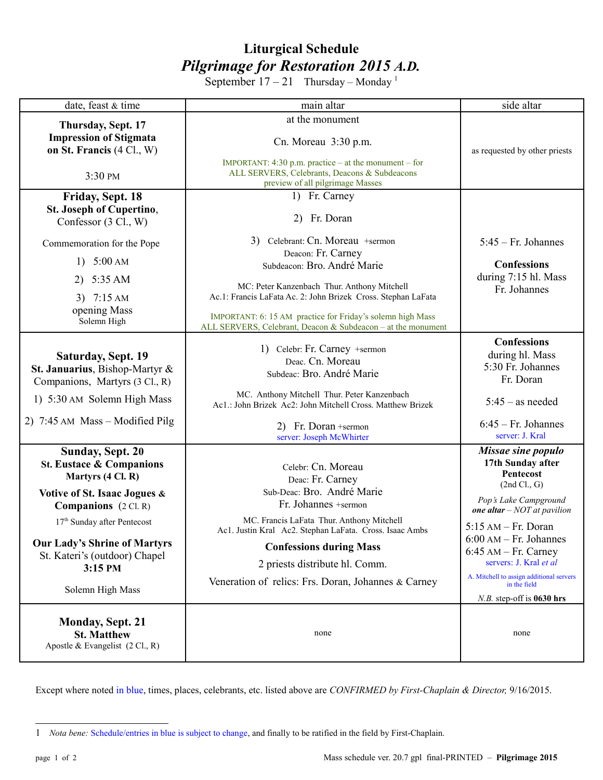## **Liturgical Schedule** *Pilgrimage for Restoration 2015 A.D.*

September  $17 - 21$  $17 - 21$  Thursday – Monday<sup>1</sup>

| date, feast & time                                                                                                                                           | main altar                                                                                                                                                                                  | side altar                                                                                                                                |
|--------------------------------------------------------------------------------------------------------------------------------------------------------------|---------------------------------------------------------------------------------------------------------------------------------------------------------------------------------------------|-------------------------------------------------------------------------------------------------------------------------------------------|
| Thursday, Sept. 17<br><b>Impression of Stigmata</b><br>on St. Francis (4 Cl., W)                                                                             | at the monument<br>Cn. Moreau 3:30 p.m.                                                                                                                                                     | as requested by other priests                                                                                                             |
| 3:30 PM                                                                                                                                                      | IMPORTANT: $4:30$ p.m. practice – at the monument – for<br>ALL SERVERS, Celebrants, Deacons & Subdeacons<br>preview of all pilgrimage Masses                                                |                                                                                                                                           |
| Friday, Sept. 18<br>St. Joseph of Cupertino,<br>Confessor (3 Cl., W)                                                                                         | 1) Fr. Carney<br>2) Fr. Doran                                                                                                                                                               |                                                                                                                                           |
| Commemoration for the Pope                                                                                                                                   | 3) Celebrant: Cn. Moreau +sermon                                                                                                                                                            | $5:45$ – Fr. Johannes                                                                                                                     |
| 1) $5:00 \text{ AM}$                                                                                                                                         | Deacon: Fr. Carney<br>Subdeacon: Bro. André Marie                                                                                                                                           | <b>Confessions</b>                                                                                                                        |
| 2) $5:35 AM$                                                                                                                                                 | MC: Peter Kanzenbach Thur. Anthony Mitchell                                                                                                                                                 | during 7:15 hl. Mass                                                                                                                      |
| 3) $7:15 AM$<br>opening Mass<br>Solemn High                                                                                                                  | Ac.1: Francis LaFata Ac. 2: John Brizek Cross. Stephan LaFata<br>IMPORTANT: 6: 15 AM practice for Friday's solemn high Mass<br>ALL SERVERS, Celebrant, Deacon & Subdeacon - at the monument | Fr. Johannes                                                                                                                              |
| <b>Saturday, Sept. 19</b><br>St. Januarius, Bishop-Martyr &<br>Companions, Martyrs (3 Cl., R)                                                                | 1) Celebr: Fr. Carney +sermon<br>Deac. Cn. Moreau<br>Subdeac: Bro. André Marie                                                                                                              | <b>Confessions</b><br>during hl. Mass<br>5:30 Fr. Johannes<br>Fr. Doran                                                                   |
| 1) 5:30 AM Solemn High Mass                                                                                                                                  | MC. Anthony Mitchell Thur. Peter Kanzenbach<br>Ac1.: John Brizek Ac2: John Mitchell Cross. Matthew Brizek                                                                                   | $5:45$ – as needed                                                                                                                        |
| 2) 7:45 AM Mass – Modified Pilg                                                                                                                              | 2) Fr. Doran +sermon<br>server: Joseph McWhirter                                                                                                                                            | $6:45$ – Fr. Johannes<br>server: J. Kral                                                                                                  |
| <b>Sunday, Sept. 20</b><br><b>St. Eustace &amp; Companions</b><br>Martyrs (4 Cl. R)<br>Votive of St. Isaac Jogues &<br><b>Companions</b> $(2 \text{ CI. R})$ | Celebr: Cn. Moreau<br>Deac: Fr. Carney<br>Sub-Deac: Bro. André Marie<br>Fr. Johannes +sermon                                                                                                | Missae sine populo<br>17th Sunday after<br>Pentecost<br>(2nd Cl., G)<br>Pop's Lake Campground<br>one altar $- NOT at$ pavilion            |
| 17 <sup>th</sup> Sunday after Pentecost                                                                                                                      | MC. Francis LaFata Thur. Anthony Mitchell                                                                                                                                                   | $5:15$ AM - Fr. Doran                                                                                                                     |
| <b>Our Lady's Shrine of Martyrs</b><br>St. Kateri's (outdoor) Chapel<br>3:15 PM<br>Solemn High Mass                                                          | Ac1. Justin Kral Ac2. Stephan LaFata. Cross. Isaac Ambs<br><b>Confessions during Mass</b><br>2 priests distribute hl. Comm.<br>Veneration of relics: Frs. Doran, Johannes & Carney          | $6:00$ AM – Fr. Johannes<br>$6:45$ AM – Fr. Carney<br>servers: J. Kral et al.<br>A. Mitchell to assign additional servers<br>in the field |
| <b>Monday, Sept. 21</b><br><b>St. Matthew</b><br>Apostle & Evangelist $(2 \text{ Cl.}, R)$                                                                   | none                                                                                                                                                                                        | $N.B.$ step-off is 0630 hrs<br>none                                                                                                       |

Except where noted in blue, times, places, celebrants, etc. listed above are *CONFIRMED by First-Chaplain & Director,* 9/16/2015.

<span id="page-0-0"></span><sup>1</sup> *Nota bene:* Schedule/entries in blue is subject to change, and finally to be ratified in the field by First-Chaplain.